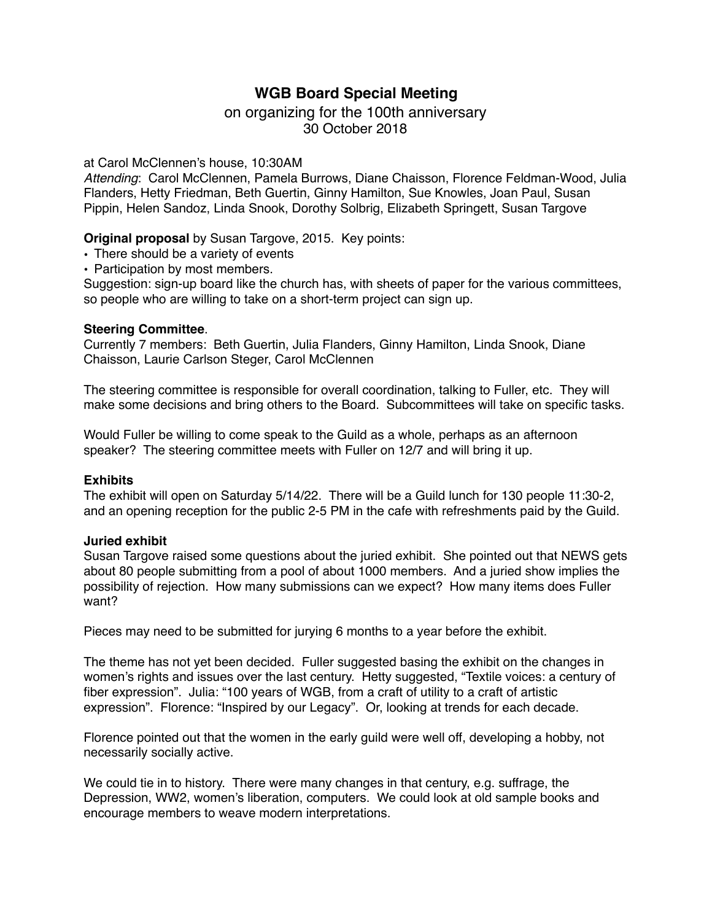# **WGB Board Special Meeting**

# on organizing for the 100th anniversary 30 October 2018

## at Carol McClennen's house, 10:30AM

*Attending*: Carol McClennen, Pamela Burrows, Diane Chaisson, Florence Feldman-Wood, Julia Flanders, Hetty Friedman, Beth Guertin, Ginny Hamilton, Sue Knowles, Joan Paul, Susan Pippin, Helen Sandoz, Linda Snook, Dorothy Solbrig, Elizabeth Springett, Susan Targove

# **Original proposal** by Susan Targove, 2015. Key points:

- **•** There should be a variety of events
- **•** Participation by most members.

Suggestion: sign-up board like the church has, with sheets of paper for the various committees, so people who are willing to take on a short-term project can sign up.

#### **Steering Committee**.

Currently 7 members: Beth Guertin, Julia Flanders, Ginny Hamilton, Linda Snook, Diane Chaisson, Laurie Carlson Steger, Carol McClennen

The steering committee is responsible for overall coordination, talking to Fuller, etc. They will make some decisions and bring others to the Board. Subcommittees will take on specific tasks.

Would Fuller be willing to come speak to the Guild as a whole, perhaps as an afternoon speaker? The steering committee meets with Fuller on 12/7 and will bring it up.

#### **Exhibits**

The exhibit will open on Saturday 5/14/22. There will be a Guild lunch for 130 people 11:30-2, and an opening reception for the public 2-5 PM in the cafe with refreshments paid by the Guild.

#### **Juried exhibit**

Susan Targove raised some questions about the juried exhibit. She pointed out that NEWS gets about 80 people submitting from a pool of about 1000 members. And a juried show implies the possibility of rejection. How many submissions can we expect? How many items does Fuller want?

Pieces may need to be submitted for jurying 6 months to a year before the exhibit.

The theme has not yet been decided. Fuller suggested basing the exhibit on the changes in women's rights and issues over the last century. Hetty suggested, "Textile voices: a century of fiber expression". Julia: "100 years of WGB, from a craft of utility to a craft of artistic expression". Florence: "Inspired by our Legacy". Or, looking at trends for each decade.

Florence pointed out that the women in the early guild were well off, developing a hobby, not necessarily socially active.

We could tie in to history. There were many changes in that century, e.g. suffrage, the Depression, WW2, women's liberation, computers. We could look at old sample books and encourage members to weave modern interpretations.